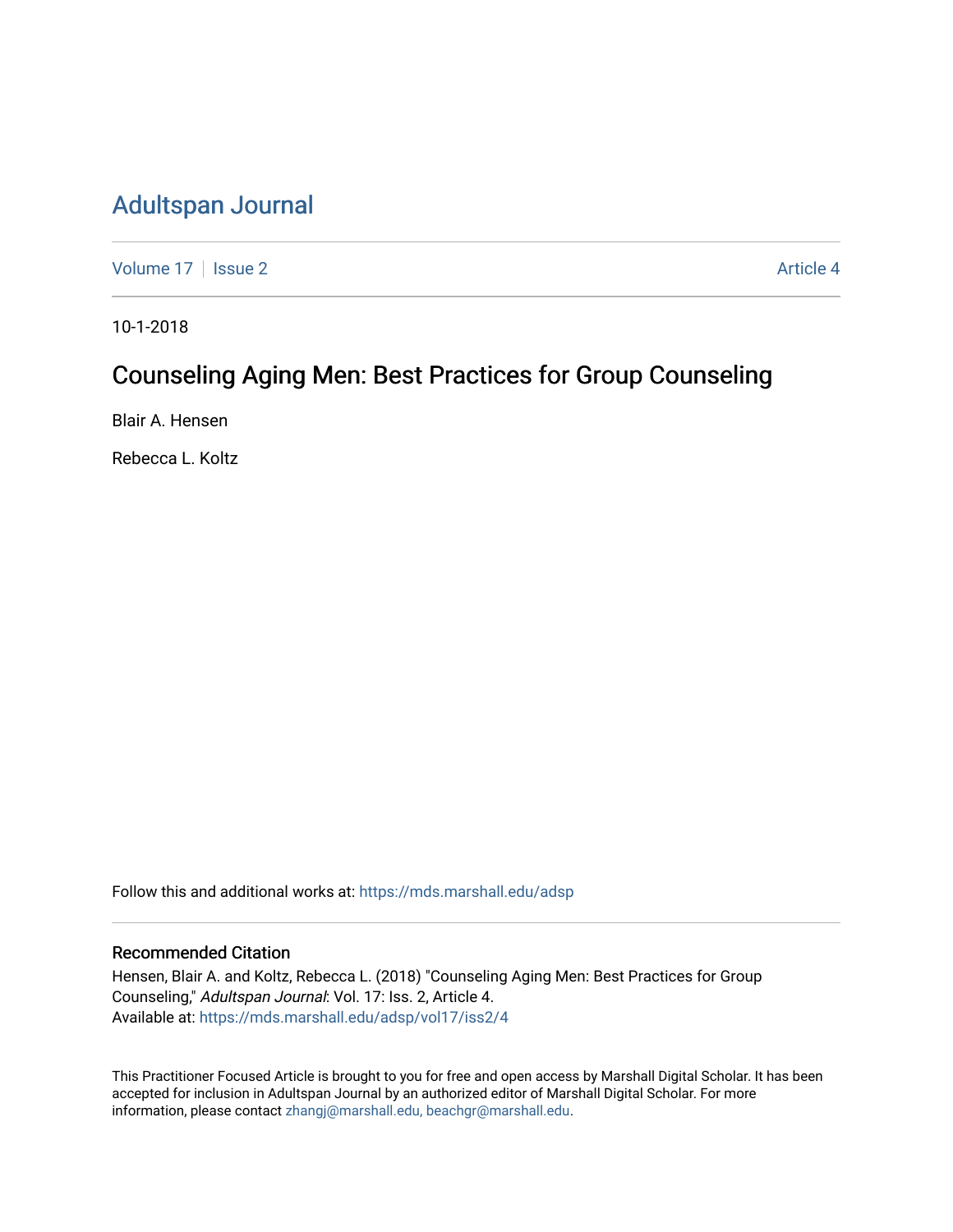# [Adultspan Journal](https://mds.marshall.edu/adsp)

[Volume 17](https://mds.marshall.edu/adsp/vol17) | [Issue 2](https://mds.marshall.edu/adsp/vol17/iss2) Article 4

10-1-2018

# Counseling Aging Men: Best Practices for Group Counseling

Blair A. Hensen

Rebecca L. Koltz

Follow this and additional works at: [https://mds.marshall.edu/adsp](https://mds.marshall.edu/adsp?utm_source=mds.marshall.edu%2Fadsp%2Fvol17%2Fiss2%2F4&utm_medium=PDF&utm_campaign=PDFCoverPages) 

## Recommended Citation

Hensen, Blair A. and Koltz, Rebecca L. (2018) "Counseling Aging Men: Best Practices for Group Counseling," Adultspan Journal: Vol. 17: Iss. 2, Article 4. Available at: [https://mds.marshall.edu/adsp/vol17/iss2/4](https://mds.marshall.edu/adsp/vol17/iss2/4?utm_source=mds.marshall.edu%2Fadsp%2Fvol17%2Fiss2%2F4&utm_medium=PDF&utm_campaign=PDFCoverPages) 

This Practitioner Focused Article is brought to you for free and open access by Marshall Digital Scholar. It has been accepted for inclusion in Adultspan Journal by an authorized editor of Marshall Digital Scholar. For more information, please contact [zhangj@marshall.edu, beachgr@marshall.edu](mailto:zhangj@marshall.edu,%20beachgr@marshall.edu).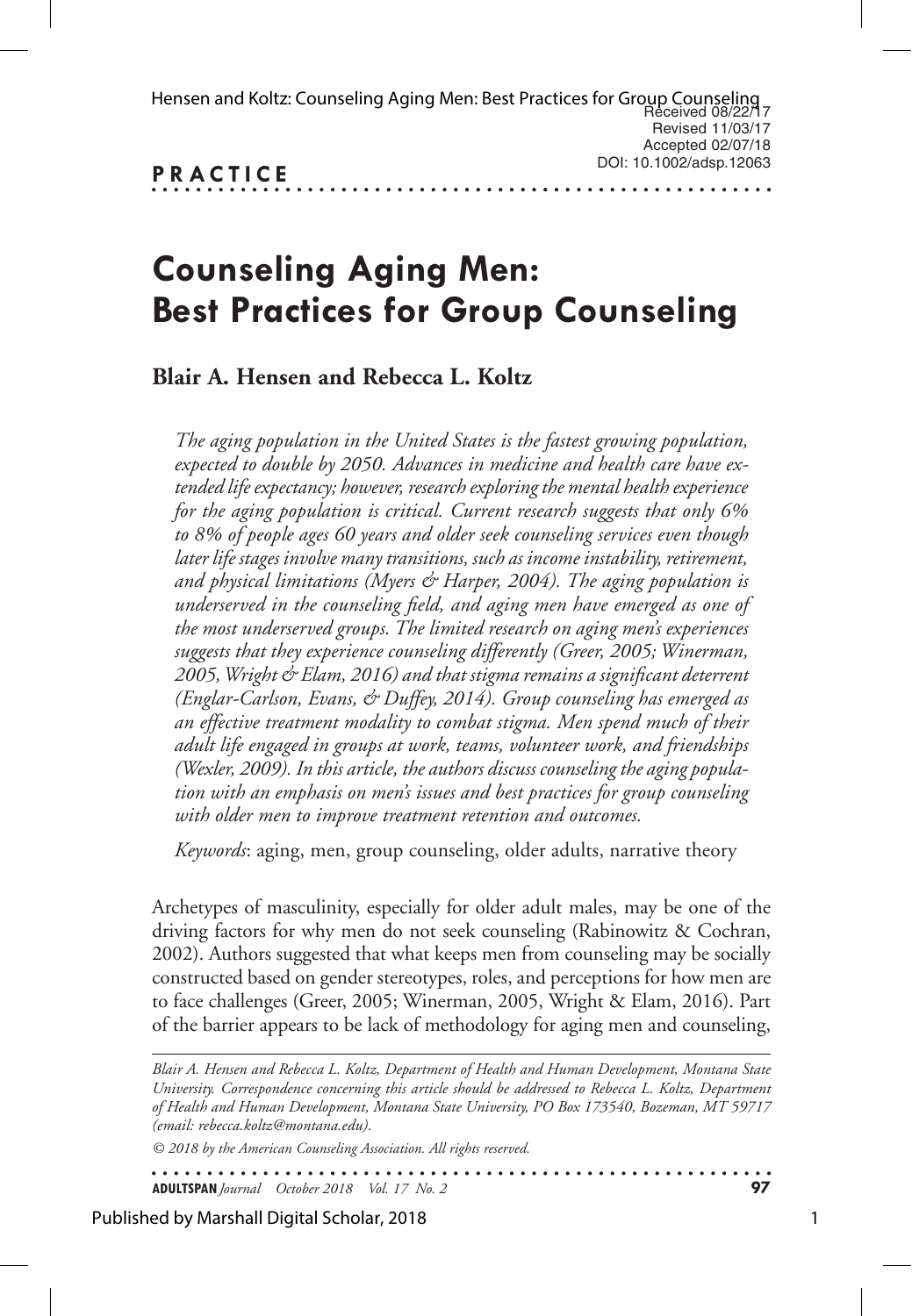| Hensen and Koltz: Counseling Aging Men: Best Practices for Group Counseling<br>Received 08/22/17 |                         |
|--------------------------------------------------------------------------------------------------|-------------------------|
|                                                                                                  | Revised 11/03/17        |
|                                                                                                  | Accepted 02/07/18       |
| <b>PRACTICE</b>                                                                                  | DOI: 10.1002/adsp.12063 |
|                                                                                                  |                         |

# **Counseling Aging Men: Best Practices for Group Counseling**

# **Blair A. Hensen and Rebecca L. Koltz**

*The aging population in the United States is the fastest growing population, expected to double by 2050. Advances in medicine and health care have extended life expectancy; however, research exploring the mental health experience for the aging population is critical. Current research suggests that only 6% to 8% of people ages 60 years and older seek counseling services even though later life stages involve many transitions, such as income instability, retirement, and physical limitations (Myers & Harper, 2004). The aging population is underserved in the counseling field, and aging men have emerged as one of the most underserved groups. The limited research on aging men's experiences suggests that they experience counseling differently (Greer, 2005; Winerman, 2005, Wright & Elam, 2016) and that stigma remains a significant deterrent (Englar-Carlson, Evans, & Duffey, 2014). Group counseling has emerged as an effective treatment modality to combat stigma. Men spend much of their adult life engaged in groups at work, teams, volunteer work, and friendships (Wexler, 2009). In this article, the authors discuss counseling the aging population with an emphasis on men's issues and best practices for group counseling with older men to improve treatment retention and outcomes.* 

*Keywords*: aging, men, group counseling, older adults, narrative theory

Archetypes of masculinity, especially for older adult males, may be one of the driving factors for why men do not seek counseling (Rabinowitz & Cochran, 2002). Authors suggested that what keeps men from counseling may be socially constructed based on gender stereotypes, roles, and perceptions for how men are to face challenges (Greer, 2005; Winerman, 2005, Wright & Elam, 2016). Part of the barrier appears to be lack of methodology for aging men and counseling,

*Blair A. Hensen and Rebecca L. Koltz, Department of Health and Human Development, Montana State University. Correspondence concerning this article should be addressed to Rebecca L. Koltz, Department of Health and Human Development, Montana State University, PO Box 173540, Bozeman, MT 59717 (email: rebecca.koltz@montana.edu).* 

*© 2018 by the American Counseling Association. All rights reserved.*

. . . . . . . . . . . . . . . . . . . **ADULTSPAN***Journal October 2018 Vol. 17 No. 2* **97**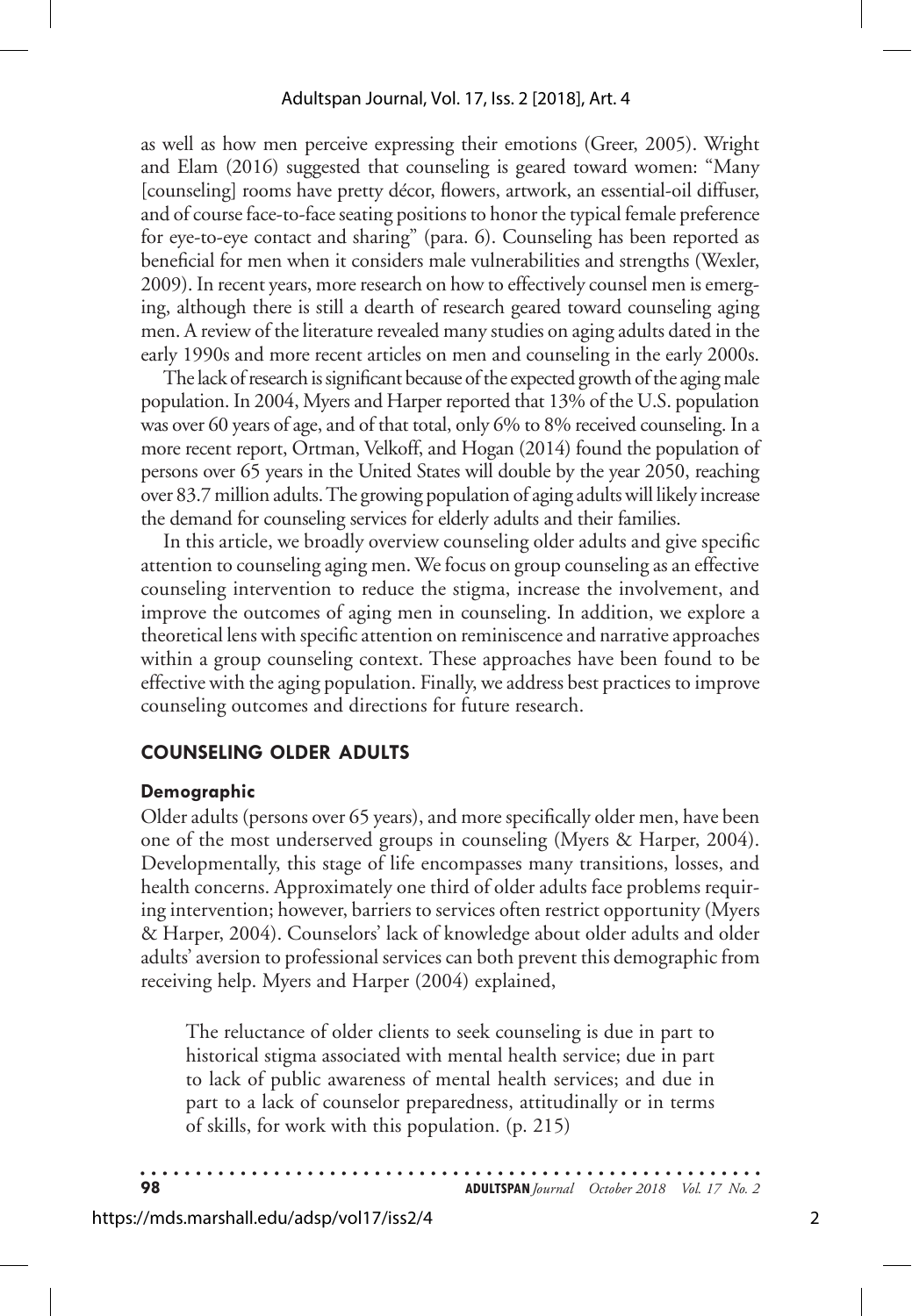as well as how men perceive expressing their emotions (Greer, 2005). Wright and Elam (2016) suggested that counseling is geared toward women: "Many [counseling] rooms have pretty décor, flowers, artwork, an essential-oil diffuser, and of course face-to-face seating positions to honor the typical female preference for eye-to-eye contact and sharing" (para. 6). Counseling has been reported as beneficial for men when it considers male vulnerabilities and strengths (Wexler, 2009). In recent years, more research on how to effectively counsel men is emerging, although there is still a dearth of research geared toward counseling aging men. A review of the literature revealed many studies on aging adults dated in the early 1990s and more recent articles on men and counseling in the early 2000s.

The lack of research is significant because of the expected growth of the aging male population. In 2004, Myers and Harper reported that 13% of the U.S. population was over 60 years of age, and of that total, only 6% to 8% received counseling. In a more recent report, Ortman, Velkoff, and Hogan (2014) found the population of persons over 65 years in the United States will double by the year 2050, reaching over 83.7 million adults. The growing population of aging adults will likely increase the demand for counseling services for elderly adults and their families.

In this article, we broadly overview counseling older adults and give specific attention to counseling aging men. We focus on group counseling as an effective counseling intervention to reduce the stigma, increase the involvement, and improve the outcomes of aging men in counseling. In addition, we explore a theoretical lens with specific attention on reminiscence and narrative approaches within a group counseling context. These approaches have been found to be effective with the aging population. Finally, we address best practices to improve counseling outcomes and directions for future research.

## **COUNSELING OLDER ADULTS**

#### **Demographic**

Older adults (persons over 65 years), and more specifically older men, have been one of the most underserved groups in counseling (Myers & Harper, 2004). Developmentally, this stage of life encompasses many transitions, losses, and health concerns. Approximately one third of older adults face problems requiring intervention; however, barriers to services often restrict opportunity (Myers & Harper, 2004). Counselors' lack of knowledge about older adults and older adults' aversion to professional services can both prevent this demographic from receiving help. Myers and Harper (2004) explained,

The reluctance of older clients to seek counseling is due in part to historical stigma associated with mental health service; due in part to lack of public awareness of mental health services; and due in part to a lack of counselor preparedness, attitudinally or in terms of skills, for work with this population. (p. 215)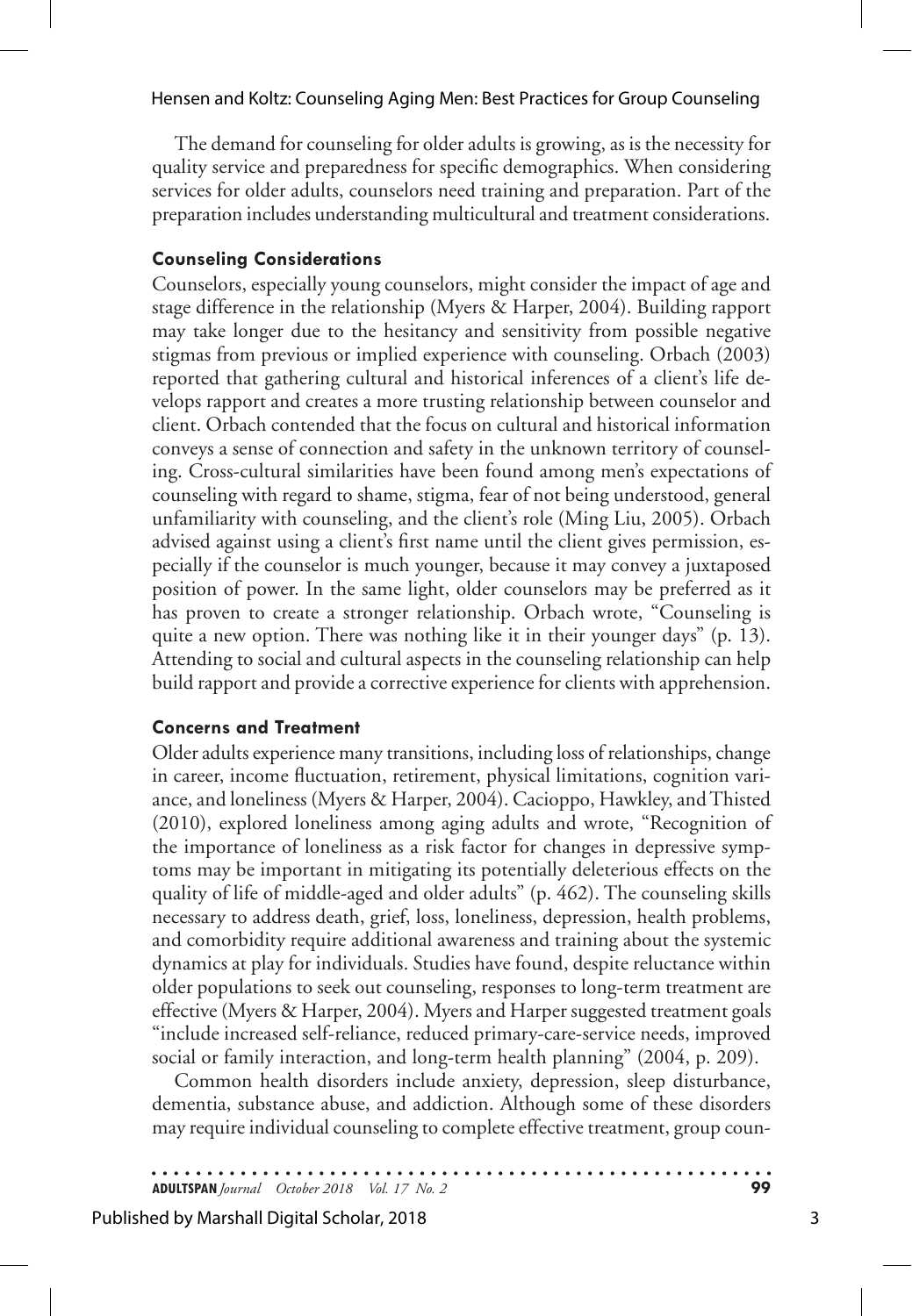The demand for counseling for older adults is growing, as is the necessity for quality service and preparedness for specific demographics. When considering services for older adults, counselors need training and preparation. Part of the preparation includes understanding multicultural and treatment considerations.

## **Counseling Considerations**

Counselors, especially young counselors, might consider the impact of age and stage difference in the relationship (Myers & Harper, 2004). Building rapport may take longer due to the hesitancy and sensitivity from possible negative stigmas from previous or implied experience with counseling. Orbach (2003) reported that gathering cultural and historical inferences of a client's life develops rapport and creates a more trusting relationship between counselor and client. Orbach contended that the focus on cultural and historical information conveys a sense of connection and safety in the unknown territory of counseling. Cross-cultural similarities have been found among men's expectations of counseling with regard to shame, stigma, fear of not being understood, general unfamiliarity with counseling, and the client's role (Ming Liu, 2005). Orbach advised against using a client's first name until the client gives permission, especially if the counselor is much younger, because it may convey a juxtaposed position of power. In the same light, older counselors may be preferred as it has proven to create a stronger relationship. Orbach wrote, "Counseling is quite a new option. There was nothing like it in their younger days" (p. 13). Attending to social and cultural aspects in the counseling relationship can help build rapport and provide a corrective experience for clients with apprehension.

## **Concerns and Treatment**

Older adults experience many transitions, including loss of relationships, change in career, income fluctuation, retirement, physical limitations, cognition variance, and loneliness (Myers & Harper, 2004). Cacioppo, Hawkley, and Thisted (2010), explored loneliness among aging adults and wrote, "Recognition of the importance of loneliness as a risk factor for changes in depressive symptoms may be important in mitigating its potentially deleterious effects on the quality of life of middle-aged and older adults" (p. 462). The counseling skills necessary to address death, grief, loss, loneliness, depression, health problems, and comorbidity require additional awareness and training about the systemic dynamics at play for individuals. Studies have found, despite reluctance within older populations to seek out counseling, responses to long-term treatment are effective (Myers & Harper, 2004). Myers and Harper suggested treatment goals "include increased self-reliance, reduced primary-care-service needs, improved social or family interaction, and long-term health planning" (2004, p. 209).

Common health disorders include anxiety, depression, sleep disturbance, dementia, substance abuse, and addiction. Although some of these disorders may require individual counseling to complete effective treatment, group coun-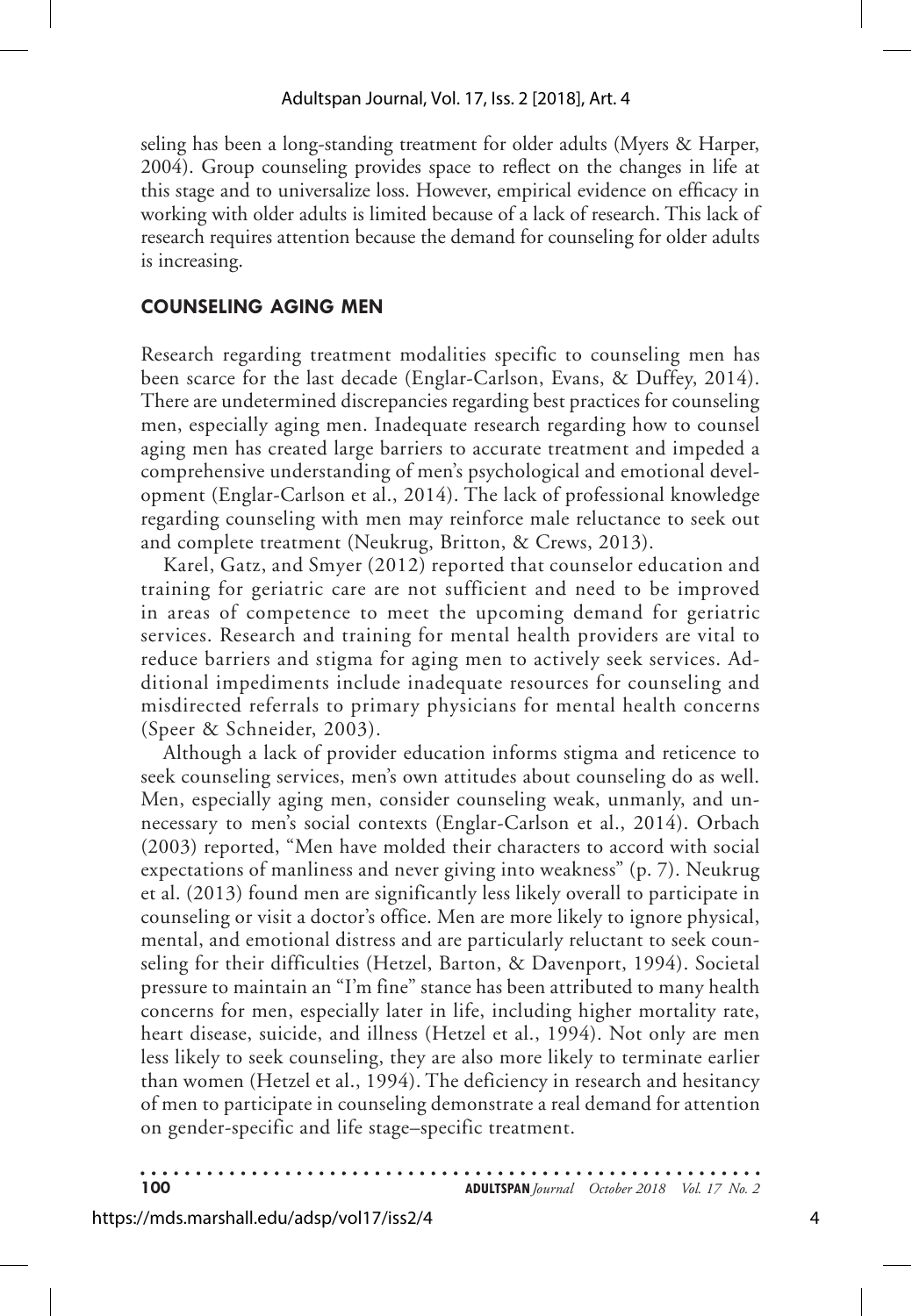seling has been a long-standing treatment for older adults (Myers & Harper, 2004). Group counseling provides space to reflect on the changes in life at this stage and to universalize loss. However, empirical evidence on efficacy in working with older adults is limited because of a lack of research. This lack of research requires attention because the demand for counseling for older adults is increasing.

## **COUNSELING AGING MEN**

Research regarding treatment modalities specific to counseling men has been scarce for the last decade (Englar-Carlson, Evans, & Duffey, 2014). There are undetermined discrepancies regarding best practices for counseling men, especially aging men. Inadequate research regarding how to counsel aging men has created large barriers to accurate treatment and impeded a comprehensive understanding of men's psychological and emotional development (Englar-Carlson et al., 2014). The lack of professional knowledge regarding counseling with men may reinforce male reluctance to seek out and complete treatment (Neukrug, Britton, & Crews, 2013).

Karel, Gatz, and Smyer (2012) reported that counselor education and training for geriatric care are not sufficient and need to be improved in areas of competence to meet the upcoming demand for geriatric services. Research and training for mental health providers are vital to reduce barriers and stigma for aging men to actively seek services. Additional impediments include inadequate resources for counseling and misdirected referrals to primary physicians for mental health concerns (Speer & Schneider, 2003).

Although a lack of provider education informs stigma and reticence to seek counseling services, men's own attitudes about counseling do as well. Men, especially aging men, consider counseling weak, unmanly, and unnecessary to men's social contexts (Englar-Carlson et al., 2014). Orbach (2003) reported, "Men have molded their characters to accord with social expectations of manliness and never giving into weakness" (p. 7). Neukrug et al. (2013) found men are significantly less likely overall to participate in counseling or visit a doctor's office. Men are more likely to ignore physical, mental, and emotional distress and are particularly reluctant to seek counseling for their difficulties (Hetzel, Barton, & Davenport, 1994). Societal pressure to maintain an "I'm fine" stance has been attributed to many health concerns for men, especially later in life, including higher mortality rate, heart disease, suicide, and illness (Hetzel et al., 1994). Not only are men less likely to seek counseling, they are also more likely to terminate earlier than women (Hetzel et al., 1994). The deficiency in research and hesitancy of men to participate in counseling demonstrate a real demand for attention on gender-specific and life stage–specific treatment.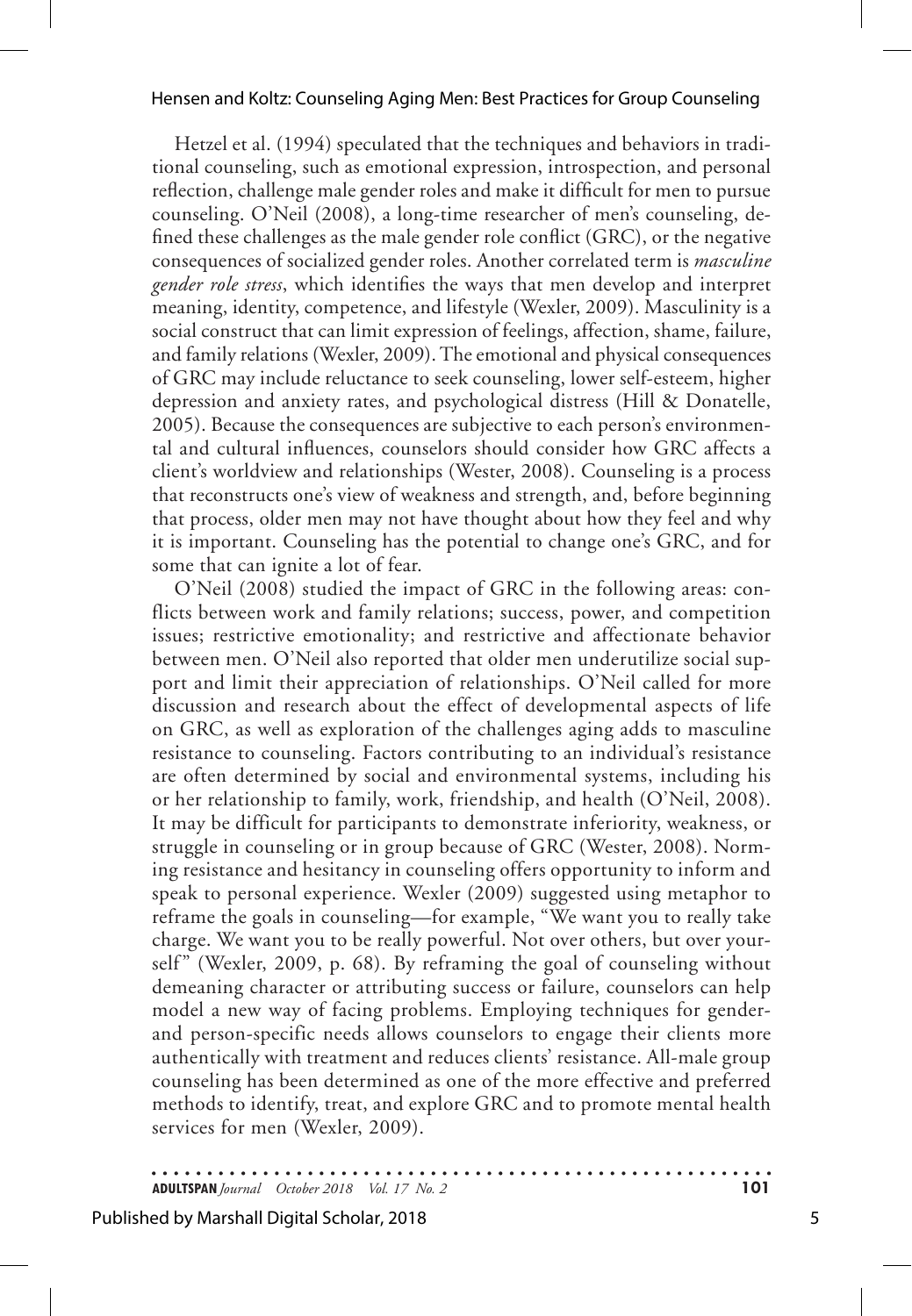Hetzel et al. (1994) speculated that the techniques and behaviors in traditional counseling, such as emotional expression, introspection, and personal reflection, challenge male gender roles and make it difficult for men to pursue counseling. O'Neil (2008), a long-time researcher of men's counseling, defined these challenges as the male gender role conflict (GRC), or the negative consequences of socialized gender roles. Another correlated term is *masculine gender role stress*, which identifies the ways that men develop and interpret meaning, identity, competence, and lifestyle (Wexler, 2009). Masculinity is a social construct that can limit expression of feelings, affection, shame, failure, and family relations (Wexler, 2009). The emotional and physical consequences of GRC may include reluctance to seek counseling, lower self-esteem, higher depression and anxiety rates, and psychological distress (Hill & Donatelle, 2005). Because the consequences are subjective to each person's environmental and cultural influences, counselors should consider how GRC affects a client's worldview and relationships (Wester, 2008). Counseling is a process that reconstructs one's view of weakness and strength, and, before beginning that process, older men may not have thought about how they feel and why it is important. Counseling has the potential to change one's GRC, and for some that can ignite a lot of fear.

O'Neil (2008) studied the impact of GRC in the following areas: conflicts between work and family relations; success, power, and competition issues; restrictive emotionality; and restrictive and affectionate behavior between men. O'Neil also reported that older men underutilize social support and limit their appreciation of relationships. O'Neil called for more discussion and research about the effect of developmental aspects of life on GRC, as well as exploration of the challenges aging adds to masculine resistance to counseling. Factors contributing to an individual's resistance are often determined by social and environmental systems, including his or her relationship to family, work, friendship, and health (O'Neil, 2008). It may be difficult for participants to demonstrate inferiority, weakness, or struggle in counseling or in group because of GRC (Wester, 2008). Norming resistance and hesitancy in counseling offers opportunity to inform and speak to personal experience. Wexler (2009) suggested using metaphor to reframe the goals in counseling—for example, "We want you to really take charge. We want you to be really powerful. Not over others, but over yourself" (Wexler, 2009, p. 68). By reframing the goal of counseling without demeaning character or attributing success or failure, counselors can help model a new way of facing problems. Employing techniques for genderand person-specific needs allows counselors to engage their clients more authentically with treatment and reduces clients' resistance. All-male group counseling has been determined as one of the more effective and preferred methods to identify, treat, and explore GRC and to promote mental health services for men (Wexler, 2009).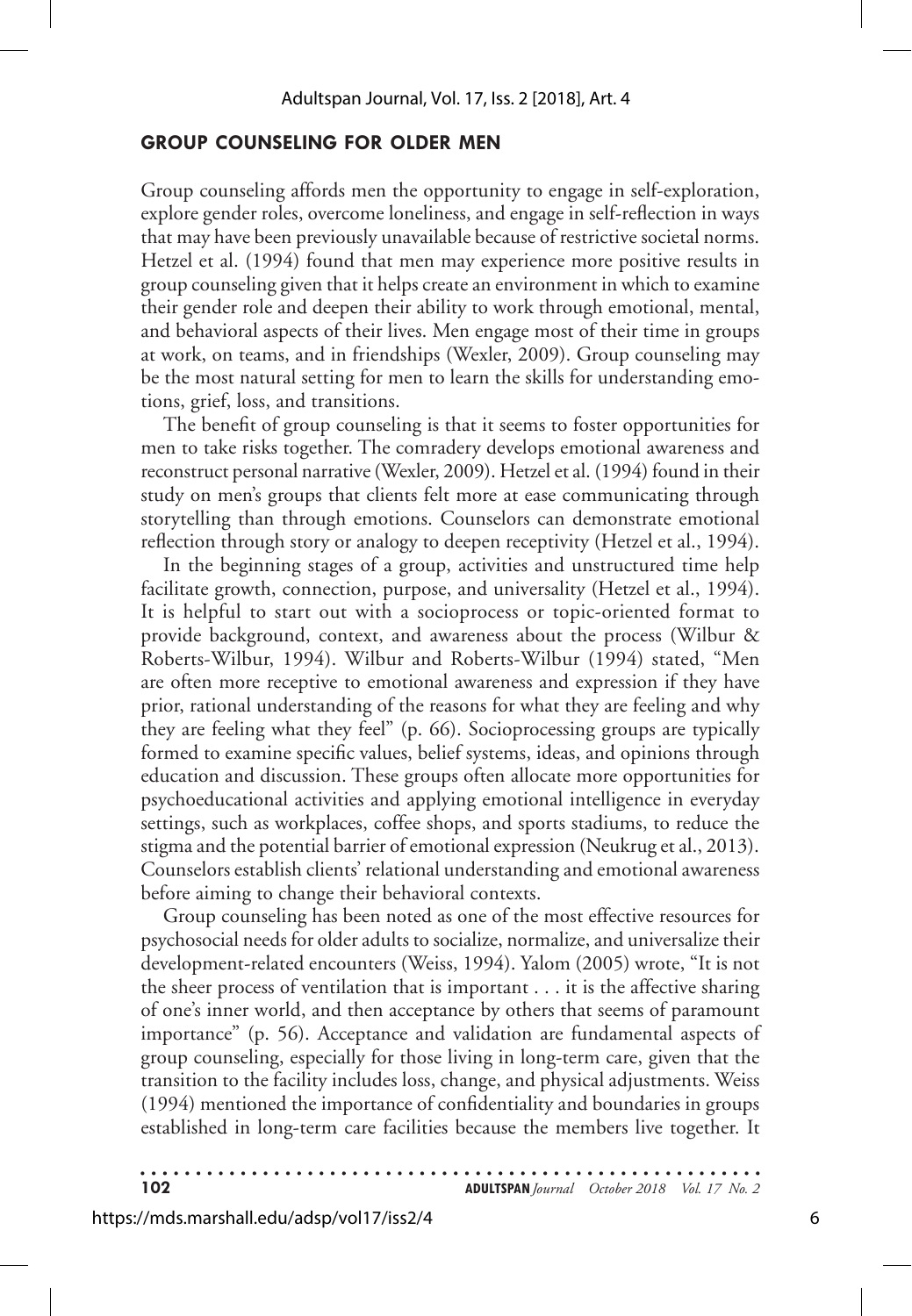## **GROUP COUNSELING FOR OLDER MEN**

Group counseling affords men the opportunity to engage in self-exploration, explore gender roles, overcome loneliness, and engage in self-reflection in ways that may have been previously unavailable because of restrictive societal norms. Hetzel et al. (1994) found that men may experience more positive results in group counseling given that it helps create an environment in which to examine their gender role and deepen their ability to work through emotional, mental, and behavioral aspects of their lives. Men engage most of their time in groups at work, on teams, and in friendships (Wexler, 2009). Group counseling may be the most natural setting for men to learn the skills for understanding emotions, grief, loss, and transitions.

The benefit of group counseling is that it seems to foster opportunities for men to take risks together. The comradery develops emotional awareness and reconstruct personal narrative (Wexler, 2009). Hetzel et al. (1994) found in their study on men's groups that clients felt more at ease communicating through storytelling than through emotions. Counselors can demonstrate emotional reflection through story or analogy to deepen receptivity (Hetzel et al., 1994).

In the beginning stages of a group, activities and unstructured time help facilitate growth, connection, purpose, and universality (Hetzel et al., 1994). It is helpful to start out with a socioprocess or topic-oriented format to provide background, context, and awareness about the process (Wilbur & Roberts-Wilbur, 1994). Wilbur and Roberts-Wilbur (1994) stated, "Men are often more receptive to emotional awareness and expression if they have prior, rational understanding of the reasons for what they are feeling and why they are feeling what they feel" (p. 66). Socioprocessing groups are typically formed to examine specific values, belief systems, ideas, and opinions through education and discussion. These groups often allocate more opportunities for psychoeducational activities and applying emotional intelligence in everyday settings, such as workplaces, coffee shops, and sports stadiums, to reduce the stigma and the potential barrier of emotional expression (Neukrug et al., 2013). Counselors establish clients' relational understanding and emotional awareness before aiming to change their behavioral contexts.

Group counseling has been noted as one of the most effective resources for psychosocial needs for older adults to socialize, normalize, and universalize their development-related encounters (Weiss, 1994). Yalom (2005) wrote, "It is not the sheer process of ventilation that is important . . . it is the affective sharing of one's inner world, and then acceptance by others that seems of paramount importance" (p. 56). Acceptance and validation are fundamental aspects of group counseling, especially for those living in long-term care, given that the transition to the facility includes loss, change, and physical adjustments. Weiss (1994) mentioned the importance of confidentiality and boundaries in groups established in long-term care facilities because the members live together. It

. . . . . . **102 ADULTSPAN***Journal October 2018 Vol. 17 No. 2*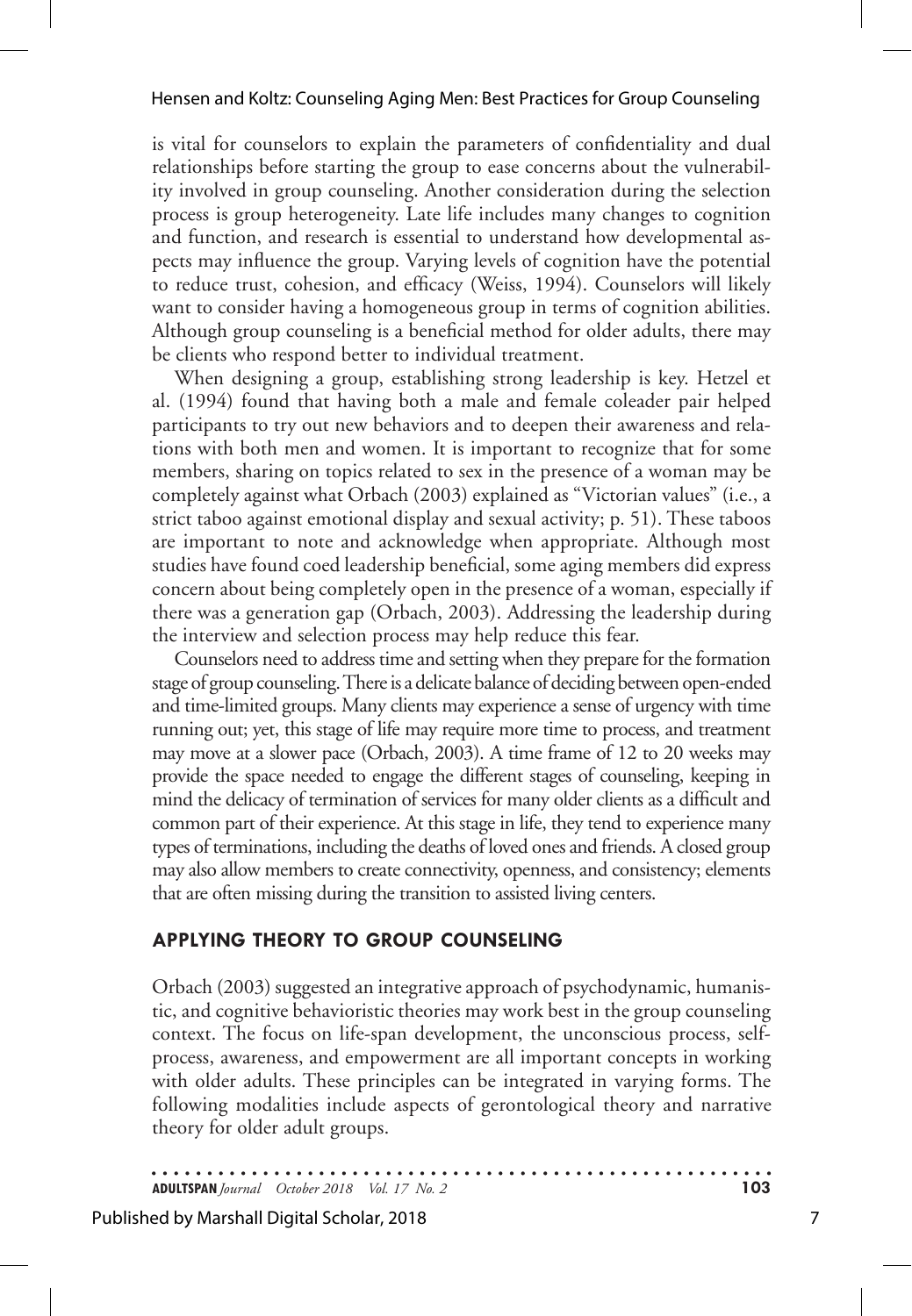is vital for counselors to explain the parameters of confidentiality and dual relationships before starting the group to ease concerns about the vulnerability involved in group counseling. Another consideration during the selection process is group heterogeneity. Late life includes many changes to cognition and function, and research is essential to understand how developmental aspects may influence the group. Varying levels of cognition have the potential to reduce trust, cohesion, and efficacy (Weiss, 1994). Counselors will likely want to consider having a homogeneous group in terms of cognition abilities. Although group counseling is a beneficial method for older adults, there may be clients who respond better to individual treatment.

When designing a group, establishing strong leadership is key. Hetzel et al. (1994) found that having both a male and female coleader pair helped participants to try out new behaviors and to deepen their awareness and relations with both men and women. It is important to recognize that for some members, sharing on topics related to sex in the presence of a woman may be completely against what Orbach (2003) explained as "Victorian values" (i.e., a strict taboo against emotional display and sexual activity; p. 51). These taboos are important to note and acknowledge when appropriate. Although most studies have found coed leadership beneficial, some aging members did express concern about being completely open in the presence of a woman, especially if there was a generation gap (Orbach, 2003). Addressing the leadership during the interview and selection process may help reduce this fear.

Counselors need to address time and setting when they prepare for the formation stage of group counseling. There is a delicate balance of deciding between open-ended and time-limited groups. Many clients may experience a sense of urgency with time running out; yet, this stage of life may require more time to process, and treatment may move at a slower pace (Orbach, 2003). A time frame of 12 to 20 weeks may provide the space needed to engage the different stages of counseling, keeping in mind the delicacy of termination of services for many older clients as a difficult and common part of their experience. At this stage in life, they tend to experience many types of terminations, including the deaths of loved ones and friends. A closed group may also allow members to create connectivity, openness, and consistency; elements that are often missing during the transition to assisted living centers.

## **APPLYING THEORY TO GROUP COUNSELING**

Orbach (2003) suggested an integrative approach of psychodynamic, humanistic, and cognitive behavioristic theories may work best in the group counseling context. The focus on life-span development, the unconscious process, selfprocess, awareness, and empowerment are all important concepts in working with older adults. These principles can be integrated in varying forms. The following modalities include aspects of gerontological theory and narrative theory for older adult groups.

**ADULTSPAN***Journal October 2018 Vol. 17 No. 2* **103**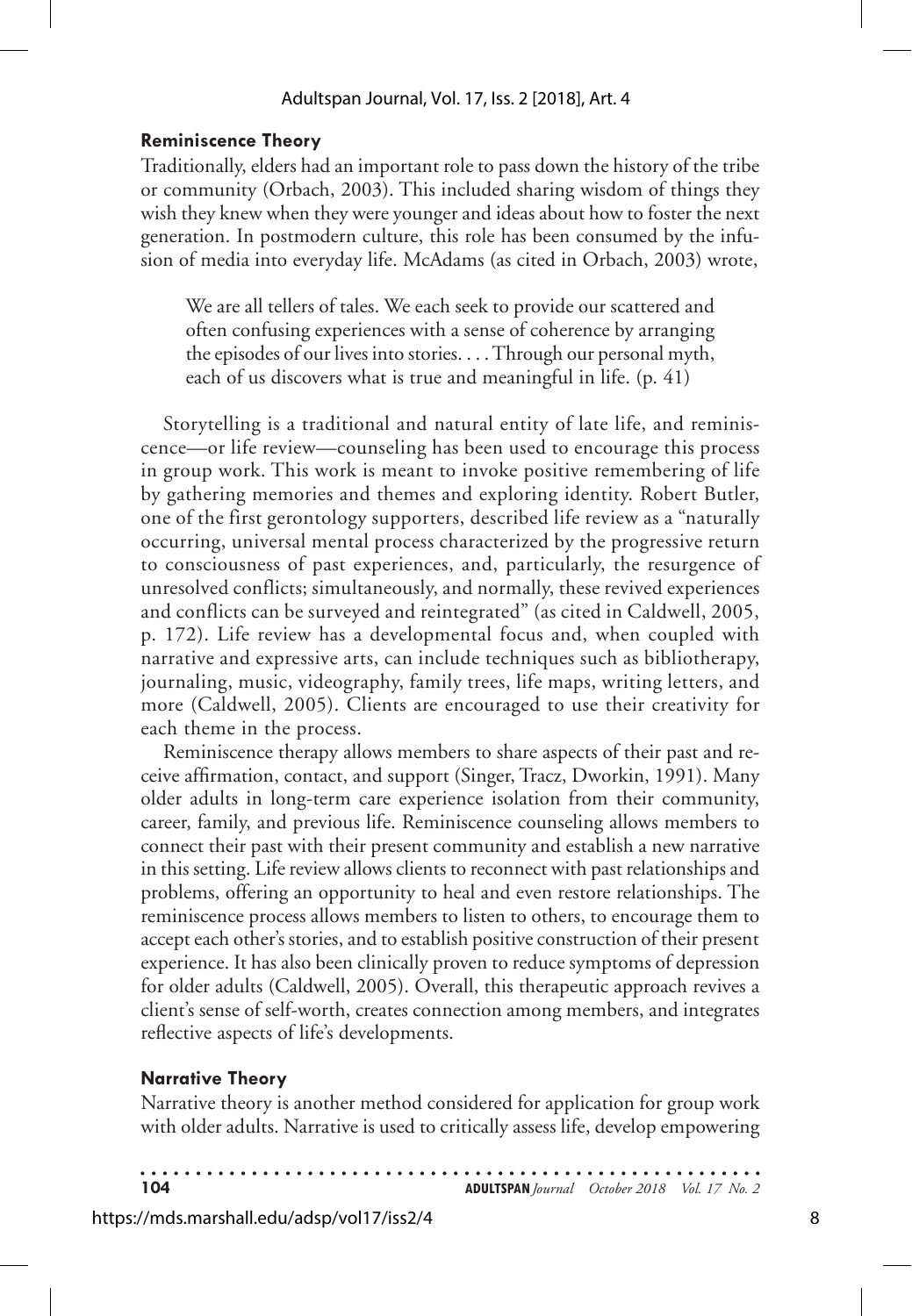## **Reminiscence Theory**

Traditionally, elders had an important role to pass down the history of the tribe or community (Orbach, 2003). This included sharing wisdom of things they wish they knew when they were younger and ideas about how to foster the next generation. In postmodern culture, this role has been consumed by the infusion of media into everyday life. McAdams (as cited in Orbach, 2003) wrote,

We are all tellers of tales. We each seek to provide our scattered and often confusing experiences with a sense of coherence by arranging the episodes of our lives into stories. . . . Through our personal myth, each of us discovers what is true and meaningful in life. (p. 41)

Storytelling is a traditional and natural entity of late life, and reminiscence—or life review—counseling has been used to encourage this process in group work. This work is meant to invoke positive remembering of life by gathering memories and themes and exploring identity. Robert Butler, one of the first gerontology supporters, described life review as a "naturally occurring, universal mental process characterized by the progressive return to consciousness of past experiences, and, particularly, the resurgence of unresolved conflicts; simultaneously, and normally, these revived experiences and conflicts can be surveyed and reintegrated" (as cited in Caldwell, 2005, p. 172). Life review has a developmental focus and, when coupled with narrative and expressive arts, can include techniques such as bibliotherapy, journaling, music, videography, family trees, life maps, writing letters, and more (Caldwell, 2005). Clients are encouraged to use their creativity for each theme in the process.

Reminiscence therapy allows members to share aspects of their past and receive affirmation, contact, and support (Singer, Tracz, Dworkin, 1991). Many older adults in long-term care experience isolation from their community, career, family, and previous life. Reminiscence counseling allows members to connect their past with their present community and establish a new narrative in this setting. Life review allows clients to reconnect with past relationships and problems, offering an opportunity to heal and even restore relationships. The reminiscence process allows members to listen to others, to encourage them to accept each other's stories, and to establish positive construction of their present experience. It has also been clinically proven to reduce symptoms of depression for older adults (Caldwell, 2005). Overall, this therapeutic approach revives a client's sense of self-worth, creates connection among members, and integrates reflective aspects of life's developments.

### **Narrative Theory**

Narrative theory is another method considered for application for group work with older adults. Narrative is used to critically assess life, develop empowering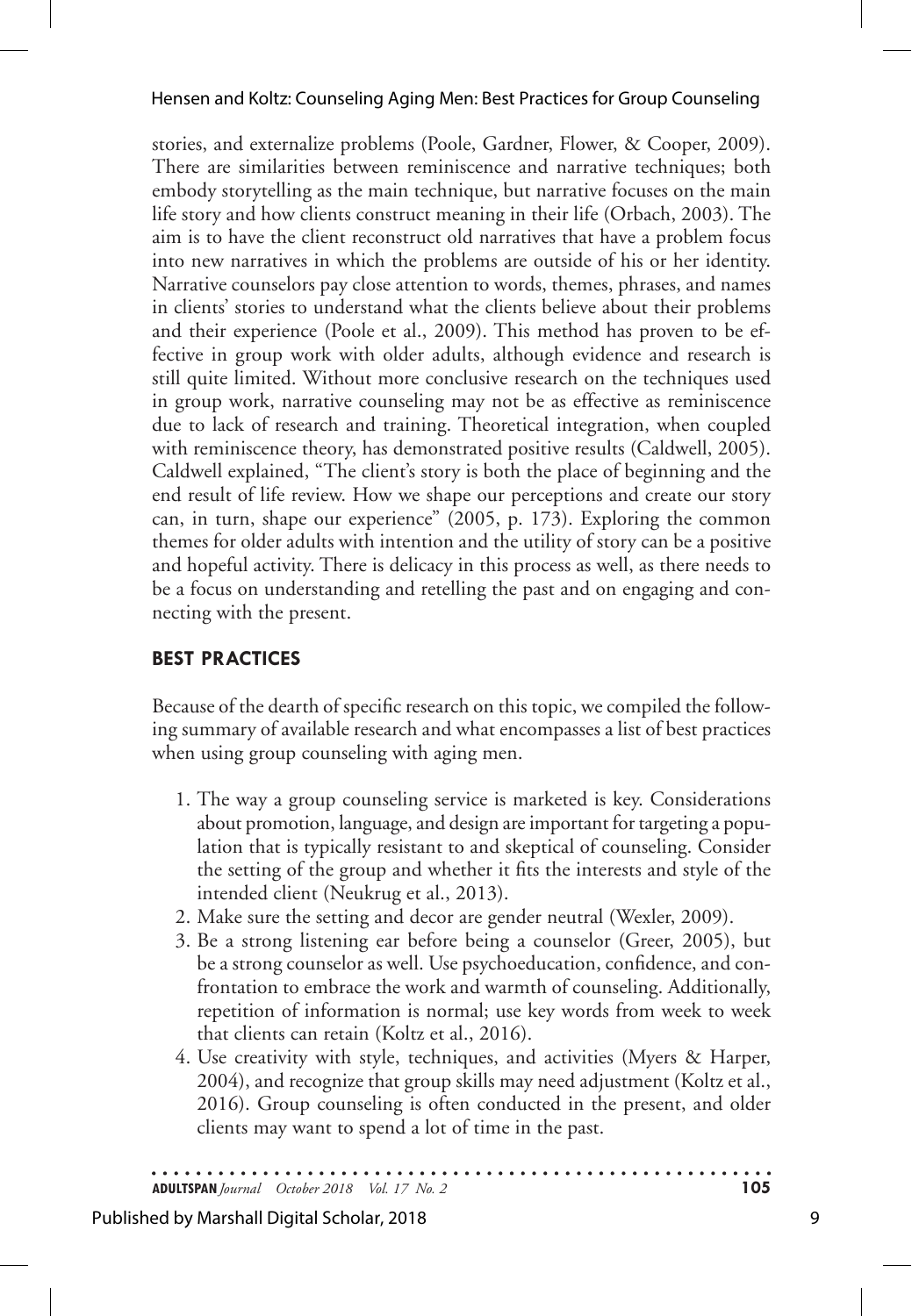stories, and externalize problems (Poole, Gardner, Flower, & Cooper, 2009). There are similarities between reminiscence and narrative techniques; both embody storytelling as the main technique, but narrative focuses on the main life story and how clients construct meaning in their life (Orbach, 2003). The aim is to have the client reconstruct old narratives that have a problem focus into new narratives in which the problems are outside of his or her identity. Narrative counselors pay close attention to words, themes, phrases, and names in clients' stories to understand what the clients believe about their problems and their experience (Poole et al., 2009). This method has proven to be effective in group work with older adults, although evidence and research is still quite limited. Without more conclusive research on the techniques used in group work, narrative counseling may not be as effective as reminiscence due to lack of research and training. Theoretical integration, when coupled with reminiscence theory, has demonstrated positive results (Caldwell, 2005). Caldwell explained, "The client's story is both the place of beginning and the end result of life review. How we shape our perceptions and create our story can, in turn, shape our experience" (2005, p. 173). Exploring the common themes for older adults with intention and the utility of story can be a positive and hopeful activity. There is delicacy in this process as well, as there needs to be a focus on understanding and retelling the past and on engaging and connecting with the present.

## **BEST PRACTICES**

Because of the dearth of specific research on this topic, we compiled the following summary of available research and what encompasses a list of best practices when using group counseling with aging men.

- 1. The way a group counseling service is marketed is key. Considerations about promotion, language, and design are important for targeting a population that is typically resistant to and skeptical of counseling. Consider the setting of the group and whether it fits the interests and style of the intended client (Neukrug et al., 2013).
- 2. Make sure the setting and decor are gender neutral (Wexler, 2009).
- 3. Be a strong listening ear before being a counselor (Greer, 2005), but be a strong counselor as well. Use psychoeducation, confidence, and confrontation to embrace the work and warmth of counseling. Additionally, repetition of information is normal; use key words from week to week that clients can retain (Koltz et al., 2016).
- 4. Use creativity with style, techniques, and activities (Myers & Harper, 2004), and recognize that group skills may need adjustment (Koltz et al., 2016). Group counseling is often conducted in the present, and older clients may want to spend a lot of time in the past.

**ADULTSPAN***Journal October 2018 Vol. 17 No. 2* **105**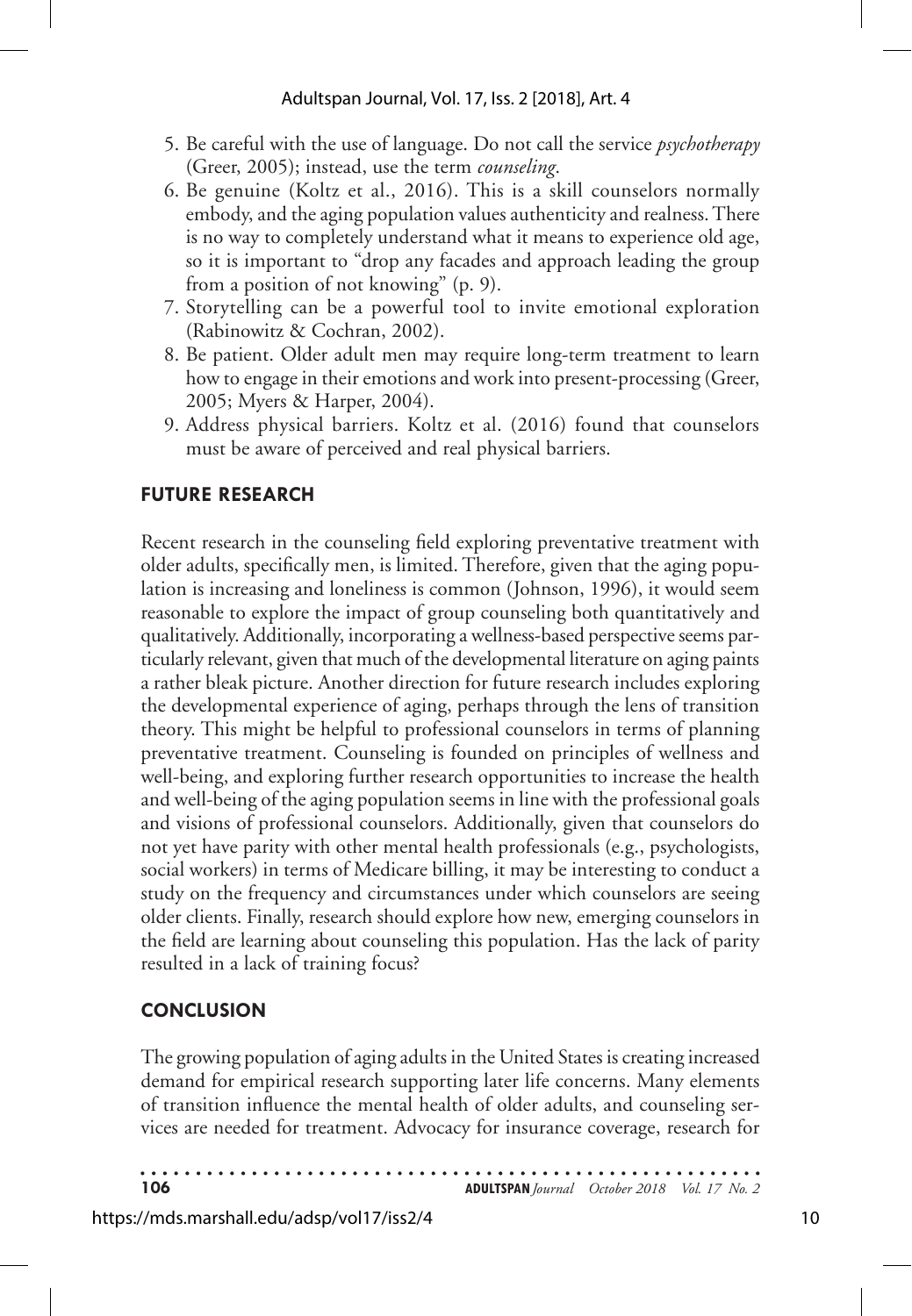- 5. Be careful with the use of language. Do not call the service *psychotherapy* (Greer, 2005); instead, use the term *counseling*.
- 6. Be genuine (Koltz et al., 2016). This is a skill counselors normally embody, and the aging population values authenticity and realness. There is no way to completely understand what it means to experience old age, so it is important to "drop any facades and approach leading the group from a position of not knowing" (p. 9).
- 7. Storytelling can be a powerful tool to invite emotional exploration (Rabinowitz & Cochran, 2002).
- 8. Be patient. Older adult men may require long-term treatment to learn how to engage in their emotions and work into present-processing (Greer, 2005; Myers & Harper, 2004).
- 9. Address physical barriers. Koltz et al. (2016) found that counselors must be aware of perceived and real physical barriers.

## **FUTURE RESEARCH**

Recent research in the counseling field exploring preventative treatment with older adults, specifically men, is limited. Therefore, given that the aging population is increasing and loneliness is common (Johnson, 1996), it would seem reasonable to explore the impact of group counseling both quantitatively and qualitatively. Additionally, incorporating a wellness-based perspective seems particularly relevant, given that much of the developmental literature on aging paints a rather bleak picture. Another direction for future research includes exploring the developmental experience of aging, perhaps through the lens of transition theory. This might be helpful to professional counselors in terms of planning preventative treatment. Counseling is founded on principles of wellness and well-being, and exploring further research opportunities to increase the health and well-being of the aging population seems in line with the professional goals and visions of professional counselors. Additionally, given that counselors do not yet have parity with other mental health professionals (e.g., psychologists, social workers) in terms of Medicare billing, it may be interesting to conduct a study on the frequency and circumstances under which counselors are seeing older clients. Finally, research should explore how new, emerging counselors in the field are learning about counseling this population. Has the lack of parity resulted in a lack of training focus?

# **CONCLUSION**

The growing population of aging adults in the United States is creating increased demand for empirical research supporting later life concerns. Many elements of transition influence the mental health of older adults, and counseling services are needed for treatment. Advocacy for insurance coverage, research for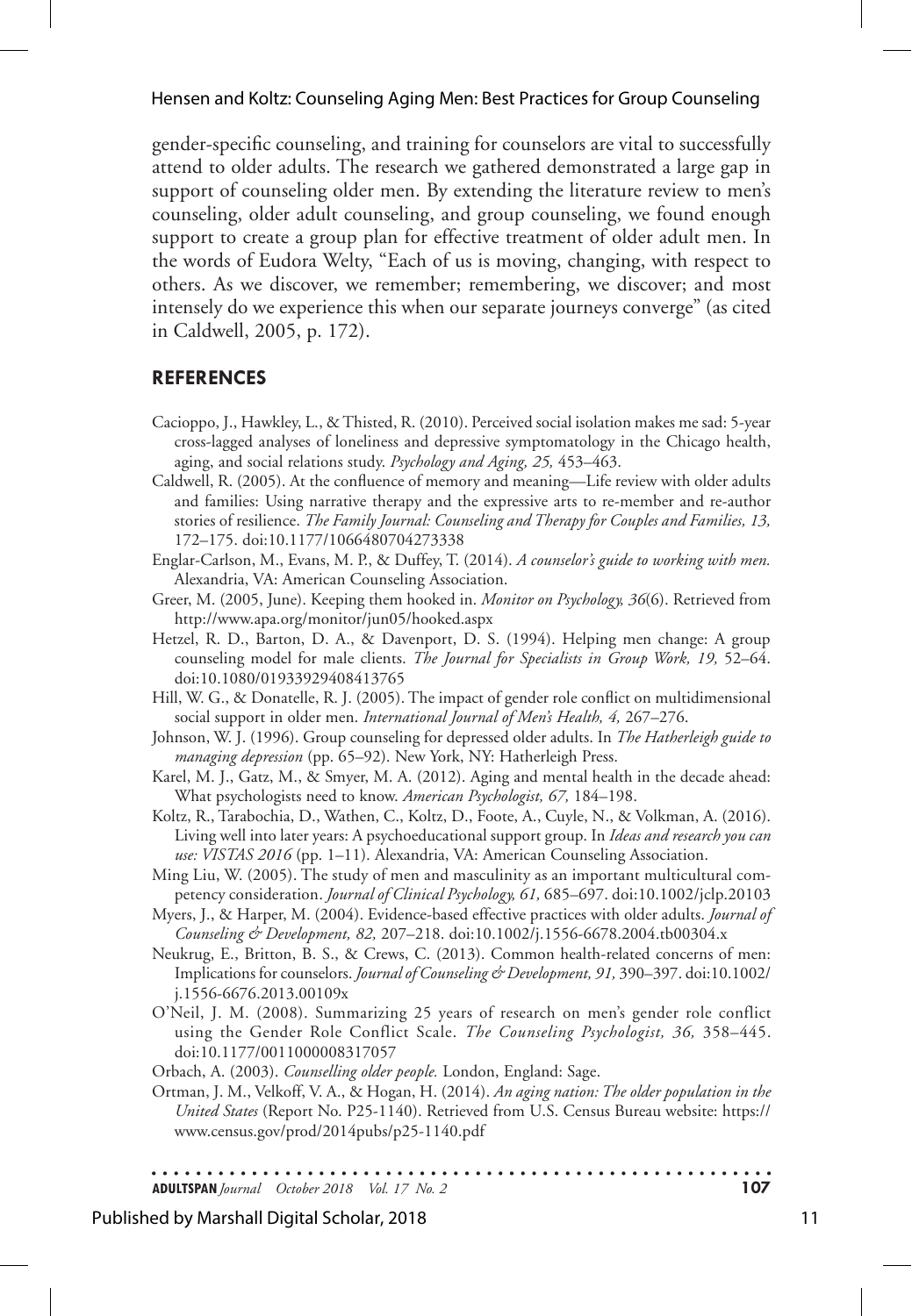gender-specific counseling, and training for counselors are vital to successfully attend to older adults. The research we gathered demonstrated a large gap in support of counseling older men. By extending the literature review to men's counseling, older adult counseling, and group counseling, we found enough support to create a group plan for effective treatment of older adult men. In the words of Eudora Welty, "Each of us is moving, changing, with respect to others. As we discover, we remember; remembering, we discover; and most intensely do we experience this when our separate journeys converge" (as cited in Caldwell, 2005, p. 172).

## **REFERENCES**

- Cacioppo, J., Hawkley, L., & Thisted, R. (2010). Perceived social isolation makes me sad: 5-year cross-lagged analyses of loneliness and depressive symptomatology in the Chicago health, aging, and social relations study. *Psychology and Aging, 25,* 453–463.
- Caldwell, R. (2005). At the confluence of memory and meaning—Life review with older adults and families: Using narrative therapy and the expressive arts to re-member and re-author stories of resilience. *The Family Journal: Counseling and Therapy for Couples and Families, 13,* 172–175. doi:10.1177/1066480704273338
- Englar-Carlson, M., Evans, M. P., & Duffey, T. (2014). *A counselor's guide to working with men.* Alexandria, VA: American Counseling Association.
- Greer, M. (2005, June). Keeping them hooked in. *Monitor on Psychology, 36*(6). Retrieved from http://www.apa.org/monitor/jun05/hooked.aspx
- Hetzel, R. D., Barton, D. A., & Davenport, D. S. (1994). Helping men change: A group counseling model for male clients. *The Journal for Specialists in Group Work, 19,* 52–64. doi:10.1080/01933929408413765
- Hill, W. G., & Donatelle, R. J. (2005). The impact of gender role conflict on multidimensional social support in older men. *International Journal of Men's Health, 4,* 267–276.
- Johnson, W. J. (1996). Group counseling for depressed older adults. In *The Hatherleigh guide to managing depression* (pp. 65–92). New York, NY: Hatherleigh Press.
- Karel, M. J., Gatz, M., & Smyer, M. A. (2012). Aging and mental health in the decade ahead: What psychologists need to know. *American Psychologist, 67,* 184–198.
- Koltz, R., Tarabochia, D., Wathen, C., Koltz, D., Foote, A., Cuyle, N., & Volkman, A. (2016). Living well into later years: A psychoeducational support group. In *Ideas and research you can use: VISTAS 2016* (pp. 1–11). Alexandria, VA: American Counseling Association.
- Ming Liu, W. (2005). The study of men and masculinity as an important multicultural competency consideration. *Journal of Clinical Psychology, 61,* 685–697. doi:10.1002/jclp.20103
- Myers, J., & Harper, M. (2004). Evidence-based effective practices with older adults. *Journal of Counseling & Development, 82,* 207–218. doi:10.1002/j.1556-6678.2004.tb00304.x
- Neukrug, E., Britton, B. S., & Crews, C. (2013). Common health-related concerns of men: Implications for counselors. *Journal of Counseling & Development, 91,* 390–397. doi:10.1002/ j.1556-6676.2013.00109x
- O'Neil, J. M. (2008). Summarizing 25 years of research on men's gender role conflict using the Gender Role Conflict Scale. *The Counseling Psychologist, 36,* 358–445. doi:10.1177/0011000008317057
- Orbach, A. (2003). *Counselling older people.* London, England: Sage.
- Ortman, J. M., Velkoff, V. A., & Hogan, H. (2014). *An aging nation: The older population in the United States* (Report No. P25-1140). Retrieved from U.S. Census Bureau website: https:// www.census.gov/prod/2014pubs/p25-1140.pdf

**ADULTSPAN***Journal October 2018 Vol. 17 No. 2* **107**